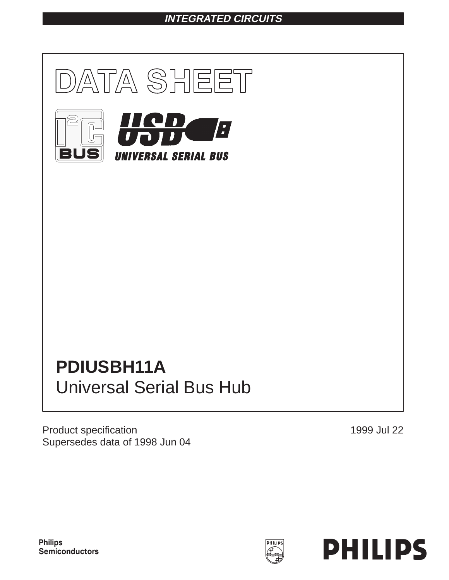## **INTEGRATED CIRCUITS**



# **PDIUSBH11A** Universal Serial Bus Hub

Product specification Supersedes data of 1998 Jun 04 1999 Jul 22

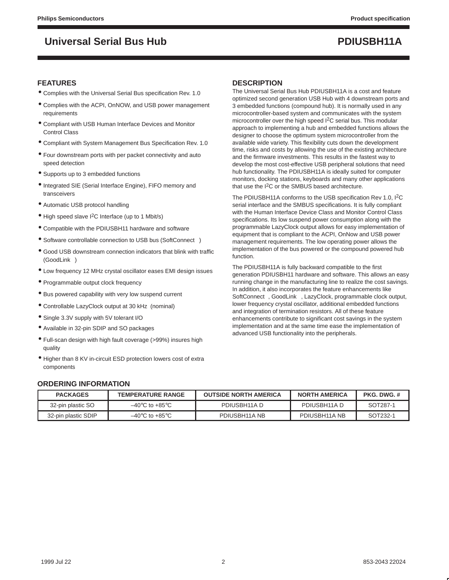### **FEATURES**

- Complies with the Universal Serial Bus specification Rev. 1.0
- Complies with the ACPI, OnNOW, and USB power management requirements
- Compliant with USB Human Interface Devices and Monitor Control Class
- Compliant with System Management Bus Specification Rev. 1.0
- Four downstream ports with per packet connectivity and auto speed detection
- Supports up to 3 embedded functions
- Integrated SIE (Serial Interface Engine), FIFO memory and transceivers
- Automatic USB protocol handling
- High speed slave I2C Interface (up to 1 Mbit/s)
- Compatible with the PDIUSBH11 hardware and software
- Software controllable connection to USB bus (SoftConnect<sup>™)</sup>
- Good USB downstream connection indicators that blink with traffic (GoodLink™)
- Low frequency 12 MHz crystal oscillator eases EMI design issues
- Programmable output clock frequency
- Bus powered capability with very low suspend current
- Controllable LazyClock output at 30 kHz (nominal)
- Single 3.3V supply with 5V tolerant I/O
- Available in 32-pin SDIP and SO packages
- Full-scan design with high fault coverage (>99%) insures high quality
- Higher than 8 KV in-circuit ESD protection lowers cost of extra components

### **DESCRIPTION**

The Universal Serial Bus Hub PDIUSBH11A is a cost and feature optimized second generation USB Hub with 4 downstream ports and 3 embedded functions (compound hub). It is normally used in any microcontroller-based system and communicates with the system microcontroller over the high speed I2C serial bus. This modular approach to implementing a hub and embedded functions allows the designer to choose the optimum system microcontroller from the available wide variety. This flexibility cuts down the development time, risks and costs by allowing the use of the existing architecture and the firmware investments. This results in the fastest way to develop the most cost-effective USB peripheral solutions that need hub functionality. The PDIUSBH11A is ideally suited for computer monitors, docking stations, keyboards and many other applications that use the I2C or the SMBUS based architecture.

The PDIUSBH11A conforms to the USB specification Rev 1.0, I<sup>2</sup>C serial interface and the SMBUS specifications. It is fully compliant with the Human Interface Device Class and Monitor Control Class specifications. Its low suspend power consumption along with the programmable LazyClock output allows for easy implementation of equipment that is compliant to the ACPI, OnNow and USB power management requirements. The low operating power allows the implementation of the bus powered or the compound powered hub function.

The PDIUSBH11A is fully backward compatible to the first generation PDIUSBH11 hardware and software. This allows an easy running change in the manufacturing line to realize the cost savings. In addition, it also incorporates the feature enhancements like SoftConnect<sup>™</sup>, GoodLink<sup>™</sup>, LazyClock, programmable clock output, lower frequency crystal oscillator, additional embedded functions and integration of termination resistors. All of these feature enhancements contribute to significant cost savings in the system implementation and at the same time ease the implementation of advanced USB functionality into the peripherals.

#### **ORDERING INFORMATION**

| <b>PACKAGES</b>     | <b>TEMPERATURE RANGE</b>           | <b>OUTSIDE NORTH AMERICA</b> | <b>NORTH AMERICA</b> | PKG DWG # |
|---------------------|------------------------------------|------------------------------|----------------------|-----------|
| 32-pin plastic SO   | $-40^{\circ}$ C to $+85^{\circ}$ C | PDIUSBH11A D                 | PDIUSBH11A D         | SOT287-1  |
| 32-pin plastic SDIP | $-40^{\circ}$ C to $+85^{\circ}$ C | PDIUSBH11A NB                | PDIUSBH11A NB        | SOT232-1  |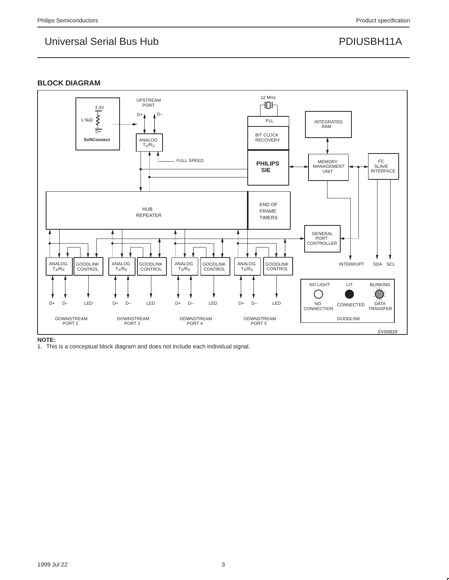### **BLOCK DIAGRAM**



1. This is a conceptual block diagram and does not include each individual signal.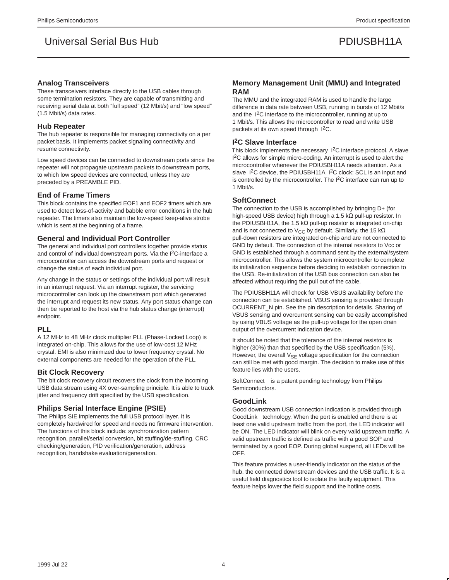#### **Analog Transceivers**

These transceivers interface directly to the USB cables through some termination resistors. They are capable of transmitting and receiving serial data at both "full speed" (12 Mbit/s) and "low speed" (1.5 Mbit/s) data rates.

#### **Hub Repeater**

The hub repeater is responsible for managing connectivity on a per packet basis. It implements packet signaling connectivity and resume connectivity.

Low speed devices can be connected to downstream ports since the repeater will not propagate upstream packets to downstream ports, to which low speed devices are connected, unless they are preceded by a PREAMBLE PID.

#### **End of Frame Timers**

This block contains the specified EOF1 and EOF2 timers which are used to detect loss-of-activity and babble error conditions in the hub repeater. The timers also maintain the low-speed keep-alive strobe which is sent at the beginning of a frame.

#### **General and Individual Port Controller**

The general and individual port controllers together provide status and control of individual downstream ports. Via the I<sup>2</sup>C-interface a microcontroller can access the downstream ports and request or change the status of each individual port.

Any change in the status or settings of the individual port will result in an interrupt request. Via an interrupt register, the servicing microcontroller can look up the downstream port which generated the interrupt and request its new status. Any port status change can then be reported to the host via the hub status change (interrupt) endpoint.

#### **PLL**

A 12 MHz to 48 MHz clock multiplier PLL (Phase-Locked Loop) is integrated on-chip. This allows for the use of low-cost 12 MHz crystal. EMI is also minimized due to lower frequency crystal. No external components are needed for the operation of the PLL.

#### **Bit Clock Recovery**

The bit clock recovery circuit recovers the clock from the incoming USB data stream using 4X over-sampling principle. It is able to track jitter and frequency drift specified by the USB specification.

#### **Philips Serial Interface Engine (PSIE)**

The Philips SIE implements the full USB protocol layer. It is completely hardwired for speed and needs no firmware intervention. The functions of this block include: synchronization pattern recognition, parallel/serial conversion, bit stuffing/de-stuffing, CRC checking/generation, PID verification/generation, address recognition, handshake evaluation/generation.

#### **Memory Management Unit (MMU) and Integrated RAM**

The MMU and the integrated RAM is used to handle the large difference in data rate between USB, running in bursts of 12 Mbit/s and the I2C interface to the microcontroller, running at up to 1 Mbit/s. This allows the microcontroller to read and write USB packets at its own speed through I<sup>2</sup>C.

### **I 2C Slave Interface**

This block implements the necessary  $1<sup>2</sup>C$  interface protocol. A slave <sup>2</sup>C allows for simple micro-coding. An interrupt is used to alert the microcontroller whenever the PDIUSBH11A needs attention. As a slave I<sup>2</sup>C device, the PDIUSBH11A I<sup>2</sup>C clock: SCL is an input and is controlled by the microcontroller. The I2C interface can run up to 1 Mbit/s.

#### **SoftConnect**

The connection to the USB is accomplished by bringing D+ (for high-speed USB device) high through a 1.5 kΩ pull-up resistor. In the PDIUSBH11A, the 1.5 k $\Omega$  pull-up resistor is integrated on-chip and is not connected to V<sub>CC</sub> by default. Similarly, the 15 kΩ pull-down resistors are integrated on-chip and are not connected to GND by default. The connection of the internal resistors to Vcc or GND is established through a command sent by the external/system microcontroller. This allows the system microcontroller to complete its initialization sequence before deciding to establish connection to the USB. Re-initialization of the USB bus connection can also be affected without requiring the pull out of the cable.

The PDIUSBH11A will check for USB VBUS availability before the connection can be established. VBUS sensing is provided through OCURRENT\_N pin. See the pin description for details. Sharing of VBUS sensing and overcurrent sensing can be easily accomplished by using VBUS voltage as the pull-up voltage for the open drain output of the overcurrent indication device.

It should be noted that the tolerance of the internal resistors is higher (30%) than that specified by the USB specification (5%). However, the overall  $V_{SE}$  voltage specification for the connection can still be met with good margin. The decision to make use of this feature lies with the users.

SoftConnect™ is a patent pending technology from Philips Semiconductors.

#### **GoodLink**

Good downstream USB connection indication is provided through GoodLink<sup>"</sup> technology. When the port is enabled and there is at least one valid upstream traffic from the port, the LED indicator will be ON. The LED indicator will blink on every valid upstream traffic. A valid upstream traffic is defined as traffic with a good SOP and terminated by a good EOP. During global suspend, all LEDs will be OFF.

This feature provides a user-friendly indicator on the status of the hub, the connected downstream devices and the USB traffic. It is a useful field diagnostics tool to isolate the faulty equipment. This feature helps lower the field support and the hotline costs.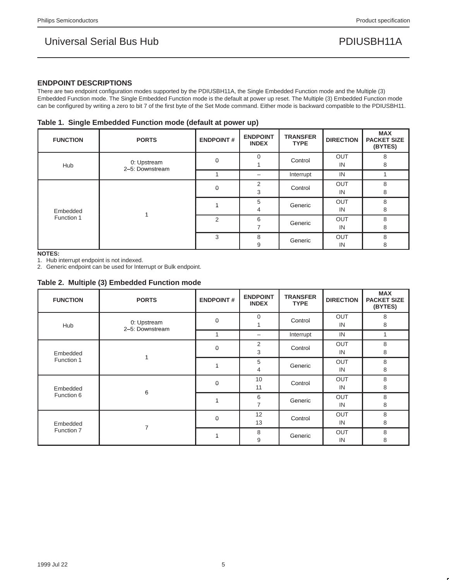### **ENDPOINT DESCRIPTIONS**

There are two endpoint configuration modes supported by the PDIUSBH11A, the Single Embedded Function mode and the Multiple (3) Embedded Function mode. The Single Embedded Function mode is the default at power up reset. The Multiple (3) Embedded Function mode can be configured by writing a zero to bit 7 of the first byte of the Set Mode command. Either mode is backward compatible to the PDIUSBH11.

| Table 1. Single Embedded Function mode (default at power up) |
|--------------------------------------------------------------|
|--------------------------------------------------------------|

| <b>FUNCTION</b>        | <b>PORTS</b>                   | <b>ENDPOINT#</b> | <b>ENDPOINT</b><br><b>INDEX</b> | <b>TRANSFER</b><br><b>TYPE</b> | <b>DIRECTION</b> | <b>MAX</b><br><b>PACKET SIZE</b><br>(BYTES) |
|------------------------|--------------------------------|------------------|---------------------------------|--------------------------------|------------------|---------------------------------------------|
| Hub                    | 0: Upstream<br>2-5: Downstream | $\mathbf 0$      | $\Omega$                        | Control                        | OUT<br>IN        | 8<br>8                                      |
|                        |                                |                  | -                               | Interrupt                      | IN               |                                             |
| Embedded<br>Function 1 |                                | 0                | 2<br>3                          | Control                        | <b>OUT</b><br>IN | 8<br>8                                      |
|                        |                                |                  | 5<br>4                          | Generic                        | OUT<br>IN        | 8<br>8                                      |
|                        |                                | $\overline{2}$   | 6                               | Generic                        | <b>OUT</b><br>IN | 8<br>8                                      |
|                        |                                | 3                | 8<br>9                          | Generic                        | <b>OUT</b><br>IN | 8<br>8                                      |

**NOTES:**

1. Hub interrupt endpoint is not indexed.

2. Generic endpoint can be used for Interrupt or Bulk endpoint.

### **Table 2. Multiple (3) Embedded Function mode**

| <b>FUNCTION</b>        | <b>PORTS</b>                   | <b>ENDPOINT#</b> | <b>ENDPOINT</b><br><b>INDEX</b> | <b>TRANSFER</b><br><b>TYPE</b> | <b>DIRECTION</b> | <b>MAX</b><br><b>PACKET SIZE</b><br>(BYTES) |
|------------------------|--------------------------------|------------------|---------------------------------|--------------------------------|------------------|---------------------------------------------|
| Hub                    | 0: Upstream<br>2-5: Downstream | $\mathbf 0$      | $\mathbf 0$                     | Control                        | OUT<br>IN        | 8<br>8                                      |
|                        |                                |                  | -                               | Interrupt                      | IN               |                                             |
| Embedded               | Function 1                     | 0                | 2<br>3                          | Control                        | OUT<br>IN        | 8<br>8                                      |
|                        |                                |                  | 5<br>4                          | Generic                        | OUT<br>IN        | 8<br>8                                      |
| Embedded<br>Function 6 | 6                              | $\mathbf 0$      | 10<br>11                        | Control                        | OUT<br>IN        | 8<br>8                                      |
|                        |                                | 1                | 6<br>$\overline{7}$             | Generic                        | OUT<br>IN        | 8<br>8                                      |
| Embedded<br>Function 7 | 7                              | $\mathbf 0$      | 12<br>13                        | Control                        | OUT<br>IN        | 8<br>8                                      |
|                        |                                |                  | 8<br>9                          | Generic                        | OUT<br>IN        | 8<br>8                                      |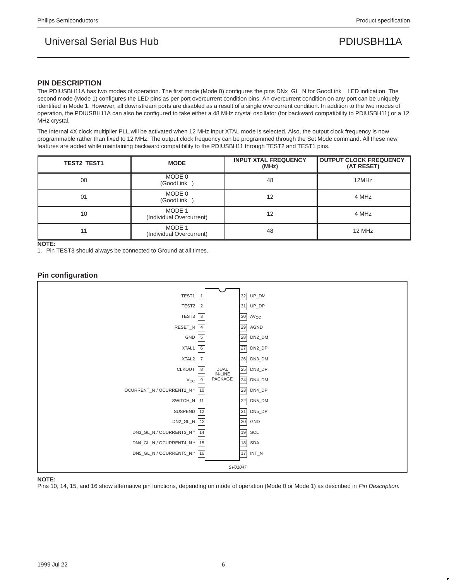#### **PIN DESCRIPTION**

The PDIUSBH11A has two modes of operation. The first mode (Mode 0) configures the pins DNx\_GL\_N for GoodLink™ LED indication. The second mode (Mode 1) configures the LED pins as per port overcurrent condition pins. An overcurrent condition on any port can be uniquely identified in Mode 1. However, all downstream ports are disabled as a result of a single overcurrent condition. In addition to the two modes of operation, the PDIUSBH11A can also be configured to take either a 48 MHz crystal oscillator (for backward compatibility to PDIUSBH11) or a 12 MHz crystal.

The internal 4X clock multiplier PLL will be activated when 12 MHz input XTAL mode is selected. Also, the output clock frequency is now programmable rather than fixed to 12 MHz. The output clock frequency can be programmed through the Set Mode command. All these new features are added while maintaining backward compatibility to the PDIUSBH11 through TEST2 and TEST1 pins.

| <b>TEST2 TEST1</b> | <b>MODE</b>                        | <b>INPUT XTAL FREQUENCY</b><br>(MHz) | <b>OUTPUT CLOCK FREQUENCY</b><br>(AT RESET) |
|--------------------|------------------------------------|--------------------------------------|---------------------------------------------|
| 00                 | MODE 0<br>(GoodLink™)              | 48                                   | 12MHz                                       |
| 01                 | MODE 0<br>(GoodLink™)              | 12                                   | 4 MHz                                       |
| 10                 | MODE 1<br>(Individual Overcurrent) | 12                                   | 4 MHz                                       |
| 11                 | MODE 1<br>(Individual Overcurrent) | 48                                   | 12 MHz                                      |

**NOTE:**

1. Pin TEST3 should always be connected to Ground at all times.

### **Pin configuration**



#### **NOTE:**

Pins 10, 14, 15, and 16 show alternative pin functions, depending on mode of operation (Mode 0 or Mode 1) as described in Pin Description.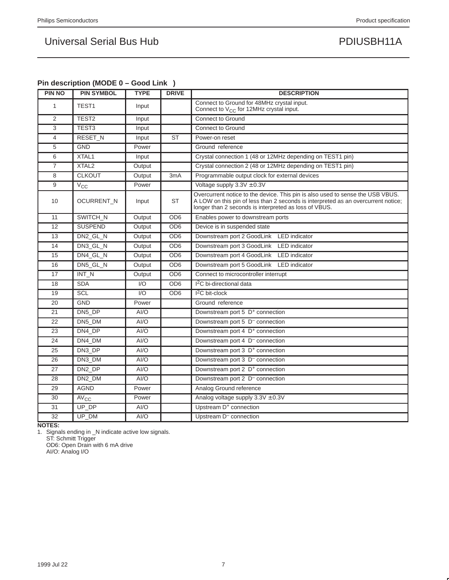### **Pin description (MODE 0 – Good Link)**

| <b>PIN NO</b>   | <b>PIN SYMBOL</b>  | <b>TYPE</b> | <b>DRIVE</b>           | <b>DESCRIPTION</b>                                                                                                                                                                                                           |
|-----------------|--------------------|-------------|------------------------|------------------------------------------------------------------------------------------------------------------------------------------------------------------------------------------------------------------------------|
| $\mathbf{1}$    | TEST1              | Input       |                        | Connect to Ground for 48MHz crystal input.<br>Connect to $V_{CC}$ for 12MHz crystal input.                                                                                                                                   |
| 2               | TEST <sub>2</sub>  | Input       |                        | <b>Connect to Ground</b>                                                                                                                                                                                                     |
| 3               | TEST <sub>3</sub>  | Input       |                        | Connect to Ground                                                                                                                                                                                                            |
| $\overline{4}$  | RESET_N            | Input       | $\overline{\text{ST}}$ | Power-on reset                                                                                                                                                                                                               |
| 5               | <b>GND</b>         | Power       |                        | Ground reference                                                                                                                                                                                                             |
| 6               | XTAL1              | Input       |                        | Crystal connection 1 (48 or 12MHz depending on TEST1 pin)                                                                                                                                                                    |
| $\overline{7}$  | XTAL <sub>2</sub>  | Output      |                        | Crystal connection 2 (48 or 12MHz depending on TEST1 pin)                                                                                                                                                                    |
| 8               | <b>CLKOUT</b>      | Output      | 3mA                    | Programmable output clock for external devices                                                                                                                                                                               |
| 9               | $V_{\rm CC}$       | Power       |                        | Voltage supply $3.3V \pm 0.3V$                                                                                                                                                                                               |
| 10              | <b>OCURRENT N</b>  | Input       | <b>ST</b>              | Overcurrent notice to the device. This pin is also used to sense the USB VBUS.<br>A LOW on this pin of less than 2 seconds is interpreted as an overcurrent notice;<br>longer than 2 seconds is interpreted as loss of VBUS. |
| 11              | SWITCH_N           | Output      | OD <sub>6</sub>        | Enables power to downstream ports                                                                                                                                                                                            |
| 12              | <b>SUSPEND</b>     | Output      | OD <sub>6</sub>        | Device is in suspended state                                                                                                                                                                                                 |
| 13              | DN2_GL_N           | Output      | OD <sub>6</sub>        | Downstream port 2 GoodLink™ LED indicator                                                                                                                                                                                    |
| 14              | DN3 GL N           | Output      | OD <sub>6</sub>        | Downstream port 3 GoodLink™ LED indicator                                                                                                                                                                                    |
| 15              | DN4_GL_N           | Output      | OD <sub>6</sub>        | Downstream port 4 GoodLink™ LED indicator                                                                                                                                                                                    |
| 16              | DN5 GL N           | Output      | OD <sub>6</sub>        | Downstream port 5 GoodLink™ LED indicator                                                                                                                                                                                    |
| $\overline{17}$ | $INT_N$            | Output      | OD <sub>6</sub>        | Connect to microcontroller interrupt                                                                                                                                                                                         |
| 18              | <b>SDA</b>         | I/O         | OD <sub>6</sub>        | I <sup>2</sup> C bi-directional data                                                                                                                                                                                         |
| 19              | <b>SCL</b>         | 1/O         | OD <sub>6</sub>        | $I2C$ bit-clock                                                                                                                                                                                                              |
| 20              | <b>GND</b>         | Power       |                        | Ground reference                                                                                                                                                                                                             |
| 21              | DN5 DP             | AI/O        |                        | Downstream port 5 D <sup>+</sup> connection                                                                                                                                                                                  |
| 22              | DN5_DM             | AI/O        |                        | Downstream port 5 D <sup>-</sup> connection                                                                                                                                                                                  |
| 23              | DN4_DP             | AI/O        |                        | Downstream port 4 D <sup>+</sup> connection                                                                                                                                                                                  |
| 24              | DN4_DM             | AI/O        |                        | Downstream port 4 D <sup>-</sup> connection                                                                                                                                                                                  |
| 25              | DN3_DP             | AI/O        |                        | Downstream port 3 D <sup>+</sup> connection                                                                                                                                                                                  |
| 26              | DN3_DM             | AI/O        |                        | Downstream port 3 D <sup>-</sup> connection                                                                                                                                                                                  |
| 27              | DN <sub>2</sub> DP | AI/O        |                        | Downstream port 2 D <sup>+</sup> connection                                                                                                                                                                                  |
| 28              | DN2_DM             | AI/O        |                        | Downstream port 2 D <sup>-</sup> connection                                                                                                                                                                                  |
| 29              | <b>AGND</b>        | Power       |                        | Analog Ground reference                                                                                                                                                                                                      |
| 30              | $AV_{CC}$          | Power       |                        | Analog voltage supply $3.3V \pm 0.3V$                                                                                                                                                                                        |
| 31              | $UP$ <sub>DP</sub> | AI/O        |                        | Upstream D <sup>+</sup> connection                                                                                                                                                                                           |
| 32              | UP DM              | AI/O        |                        | Upstream D <sup>-</sup> connection                                                                                                                                                                                           |

**NOTES:**

1. Signals ending in \_N indicate active low signals. ST: Schmitt Trigger OD6: Open Drain with 6 mA drive

AI/O: Analog I/O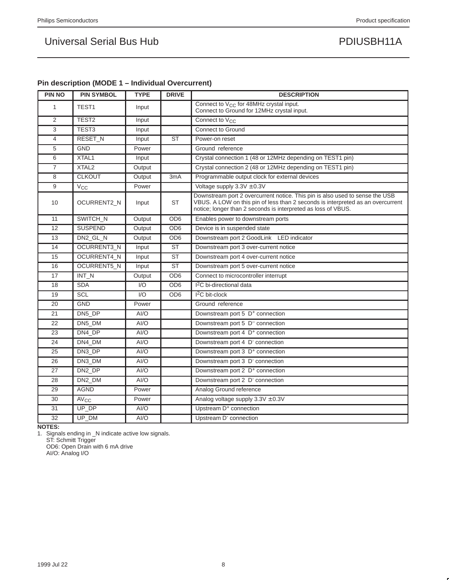| <b>PIN NO</b>   | .  accop ,<br><b>PIN SYMBOL</b> | <b>TYPE</b> | <b>DRIVE</b>     | <b>DESCRIPTION</b>                                                                                                                                                                                                               |
|-----------------|---------------------------------|-------------|------------------|----------------------------------------------------------------------------------------------------------------------------------------------------------------------------------------------------------------------------------|
| 1               | TEST <sub>1</sub>               | Input       |                  | Connect to V <sub>CC</sub> for 48MHz crystal input.<br>Connect to Ground for 12MHz crystal input.                                                                                                                                |
| 2               | TEST <sub>2</sub>               | Input       |                  | Connect to V <sub>CC</sub>                                                                                                                                                                                                       |
| 3               | TEST <sub>3</sub>               | Input       |                  | <b>Connect to Ground</b>                                                                                                                                                                                                         |
| $\overline{4}$  | RESET_N                         | Input       | <b>ST</b>        | Power-on reset                                                                                                                                                                                                                   |
| 5               | <b>GND</b>                      | Power       |                  | Ground reference                                                                                                                                                                                                                 |
| 6               | XTAL1                           | Input       |                  | Crystal connection 1 (48 or 12MHz depending on TEST1 pin)                                                                                                                                                                        |
| $\overline{7}$  | XTAL <sub>2</sub>               | Output      |                  | Crystal connection 2 (48 or 12MHz depending on TEST1 pin)                                                                                                                                                                        |
| 8               | <b>CLKOUT</b>                   | Output      | 3 <sub>m</sub> A | Programmable output clock for external devices                                                                                                                                                                                   |
| 9               | $V_{\rm CC}$                    | Power       |                  | Voltage supply $3.3V \pm 0.3V$                                                                                                                                                                                                   |
| 10              | OCURRENT2_N                     | Input       | <b>ST</b>        | Downstream port 2 overcurrent notice. This pin is also used to sense the USB<br>VBUS. A LOW on this pin of less than 2 seconds is interpreted as an overcurrent<br>notice; longer than 2 seconds is interpreted as loss of VBUS. |
| 11              | SWITCH N                        | Output      | OD <sub>6</sub>  | Enables power to downstream ports                                                                                                                                                                                                |
| 12              | <b>SUSPEND</b>                  | Output      | OD <sub>6</sub>  | Device is in suspended state                                                                                                                                                                                                     |
| 13              | DN2 GL N                        | Output      | OD <sub>6</sub>  | Downstream port 2 GoodLink™ LED indicator                                                                                                                                                                                        |
| 14              | OCURRENT3 N                     | Input       | <b>ST</b>        | Downstream port 3 over-current notice                                                                                                                                                                                            |
| 15              | OCURRENT4_N                     | Input       | <b>ST</b>        | Downstream port 4 over-current notice                                                                                                                                                                                            |
| 16              | OCURRENT5_N                     | Input       | <b>ST</b>        | Downstream port 5 over-current notice                                                                                                                                                                                            |
| 17              | INT_N                           | Output      | OD <sub>6</sub>  | Connect to microcontroller interrupt                                                                                                                                                                                             |
| 18              | <b>SDA</b>                      | 1/O         | OD <sub>6</sub>  | I <sup>2</sup> C bi-directional data                                                                                                                                                                                             |
| 19              | <b>SCL</b>                      | 1/O         | OD <sub>6</sub>  | $I2C$ bit-clock                                                                                                                                                                                                                  |
| 20              | <b>GND</b>                      | Power       |                  | Ground reference                                                                                                                                                                                                                 |
| 21              | DN5_DP                          | AI/O        |                  | Downstream port 5 D <sup>+</sup> connection                                                                                                                                                                                      |
| 22              | DN5 DM                          | AI/O        |                  | Downstream port 5 D <sup>-</sup> connection                                                                                                                                                                                      |
| 23              | DN4 DP                          | AI/O        |                  | Downstream port 4 D <sup>+</sup> connection                                                                                                                                                                                      |
| 24              | DN4 DM                          | AI/O        |                  | Downstream port 4 D <sup>-</sup> connection                                                                                                                                                                                      |
| 25              | DN3 DP                          | AI/O        |                  | Downstream port 3 D <sup>+</sup> connection                                                                                                                                                                                      |
| 26              | DN3 DM                          | AI/O        |                  | Downstream port 3 D <sup>-</sup> connection                                                                                                                                                                                      |
| 27              | DN <sub>2</sub> DP              | AI/O        |                  | Downstream port 2 D <sup>+</sup> connection                                                                                                                                                                                      |
| 28              | DN2_DM                          | AI/O        |                  | Downstream port 2 D <sup>-</sup> connection                                                                                                                                                                                      |
| 29              | <b>AGND</b>                     | Power       |                  | Analog Ground reference                                                                                                                                                                                                          |
| 30              | <b>AV<sub>CC</sub></b>          | Power       |                  | Analog voltage supply $3.3V \pm 0.3V$                                                                                                                                                                                            |
| 31              | UP_DP                           | AI/O        |                  | Upstream D <sup>+</sup> connection                                                                                                                                                                                               |
| $\overline{32}$ | UP_DM                           | AI/O        |                  | Upstream D <sup>-</sup> connection                                                                                                                                                                                               |

### **Pin description (MODE 1 – Individual Overcurrent)**

**NOTES:**

1. Signals ending in \_N indicate active low signals. ST: Schmitt Trigger OD6: Open Drain with 6 mA drive

AI/O: Analog I/O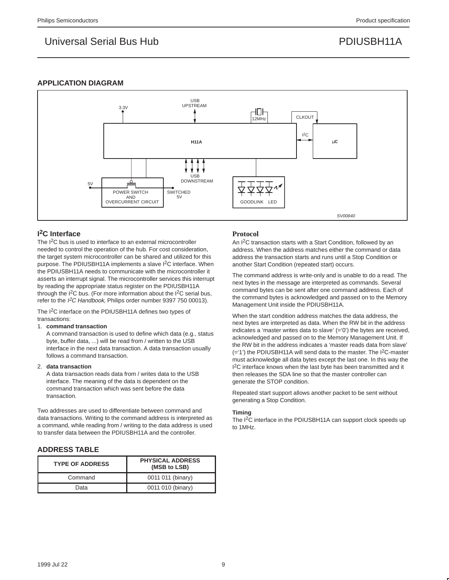### **APPLICATION DIAGRAM**



### **I 2C Interface**

The I<sup>2</sup>C bus is used to interface to an external microcontroller needed to control the operation of the hub. For cost consideration, the target system microcontroller can be shared and utilized for this purpose. The PDIUSBH11A implements a slave I<sup>2</sup>C interface. When the PDIUSBH11A needs to communicate with the microcontroller it asserts an interrupt signal. The microcontroller services this interrupt by reading the appropriate status register on the PDIUSBH11A through the  $I^2C$  bus. (For more information about the  $I^2C$  serial bus, refer to the I<sup>2</sup>C Handbook, Philips order number 9397 750 00013).

The I<sup>2</sup>C interface on the PDIUSBH11A defines two types of transactions:

#### 1. **command transaction**

A command transaction is used to define which data (e.g., status byte, buffer data, ...) will be read from / written to the USB interface in the next data transaction. A data transaction usually follows a command transaction.

#### 2. **data transaction**

A data transaction reads data from / writes data to the USB interface. The meaning of the data is dependent on the command transaction which was sent before the data transaction.

Two addresses are used to differentiate between command and data transactions. Writing to the command address is interpreted as a command, while reading from / writing to the data address is used to transfer data between the PDIUSBH11A and the controller.

### **ADDRESS TABLE**

| <b>TYPE OF ADDRESS</b> | <b>PHYSICAL ADDRESS</b><br>(MSB to LSB) |
|------------------------|-----------------------------------------|
| Command                | 0011 011 (binary)                       |
| Data                   | 0011 010 (binary)                       |

### **Protocol**

An I2C transaction starts with a Start Condition, followed by an address. When the address matches either the command or data address the transaction starts and runs until a Stop Condition or another Start Condition (repeated start) occurs.

The command address is write-only and is unable to do a read. The next bytes in the message are interpreted as commands. Several command bytes can be sent after one command address. Each of the command bytes is acknowledged and passed on to the Memory Management Unit inside the PDIUSBH11A.

When the start condition address matches the data address, the next bytes are interpreted as data. When the RW bit in the address indicates a 'master writes data to slave' (='0') the bytes are received, acknowledged and passed on to the Memory Management Unit. If the RW bit in the address indicates a 'master reads data from slave'  $(=')$  the PDIUSBH11A will send data to the master. The  $1^2C$ -master must acknowledge all data bytes except the last one. In this way the <sup>2</sup>C interface knows when the last byte has been transmitted and it then releases the SDA line so that the master controller can generate the STOP condition.

Repeated start support allows another packet to be sent without generating a Stop Condition.

#### **Timing**

The I<sup>2</sup>C interface in the PDIUSBH11A can support clock speeds up to 1MHz.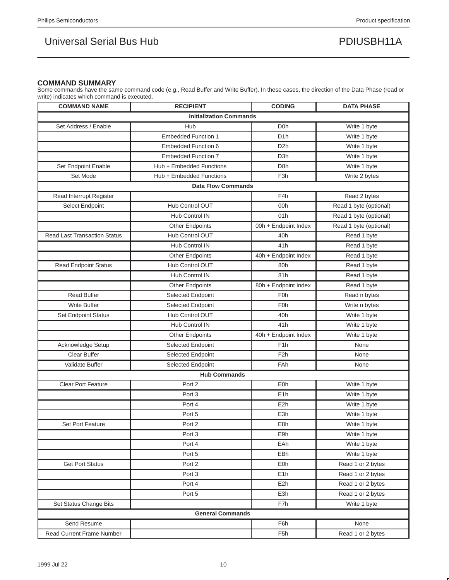### **COMMAND SUMMARY**

Some commands have the same command code (e.g., Read Buffer and Write Buffer). In these cases, the direction of the Data Phase (read or write) indicates which command is executed.

| <b>COMMAND NAME</b>                  | <b>RECIPIENT</b>           | <b>CODING</b>        | <b>DATA PHASE</b>      |  |  |  |
|--------------------------------------|----------------------------|----------------------|------------------------|--|--|--|
| <b>Initialization Commands</b>       |                            |                      |                        |  |  |  |
| Set Address / Enable                 | Hub                        | D <sub>0</sub> h     | Write 1 byte           |  |  |  |
|                                      | <b>Embedded Function 1</b> | D <sub>1</sub> h     | Write 1 byte           |  |  |  |
|                                      | Embedded Function 6        | D <sub>2</sub> h     | Write 1 byte           |  |  |  |
|                                      | <b>Embedded Function 7</b> | D <sub>3</sub> h     | Write 1 byte           |  |  |  |
| Set Endpoint Enable                  | Hub + Embedded Functions   | D <sub>8</sub> h     | Write 1 byte           |  |  |  |
| Set Mode<br>Hub + Embedded Functions |                            | F <sub>3</sub> h     | Write 2 bytes          |  |  |  |
|                                      | <b>Data Flow Commands</b>  |                      |                        |  |  |  |
| Read Interrupt Register              |                            | F <sub>4</sub> h     | Read 2 bytes           |  |  |  |
| Select Endpoint                      | Hub Control OUT            | 00h                  | Read 1 byte (optional) |  |  |  |
|                                      | <b>Hub Control IN</b>      | 01h                  | Read 1 byte (optional) |  |  |  |
|                                      | <b>Other Endpoints</b>     | 00h + Endpoint Index | Read 1 byte (optional) |  |  |  |
| <b>Read Last Transaction Status</b>  | Hub Control OUT            | 40h                  | Read 1 byte            |  |  |  |
|                                      | Hub Control IN             | 41h                  | Read 1 byte            |  |  |  |
|                                      | <b>Other Endpoints</b>     | 40h + Endpoint Index | Read 1 byte            |  |  |  |
| <b>Read Endpoint Status</b>          | Hub Control OUT            | 80h                  | Read 1 byte            |  |  |  |
|                                      | <b>Hub Control IN</b>      | 81h                  | Read 1 byte            |  |  |  |
|                                      | <b>Other Endpoints</b>     | 80h + Endpoint Index | Read 1 byte            |  |  |  |
| <b>Read Buffer</b>                   | Selected Endpoint          | F <sub>0</sub> h     | Read n bytes           |  |  |  |
| Write Buffer                         | Selected Endpoint          | F <sub>0</sub> h     | Write n bytes          |  |  |  |
| Set Endpoint Status                  | Hub Control OUT            | 40h                  | Write 1 byte           |  |  |  |
|                                      | Hub Control IN             | 41h                  | Write 1 byte           |  |  |  |
|                                      | <b>Other Endpoints</b>     | 40h + Endpoint Index | Write 1 byte           |  |  |  |
| Acknowledge Setup                    | Selected Endpoint          | F <sub>1</sub> h     | None                   |  |  |  |
| Clear Buffer                         | Selected Endpoint          | F <sub>2</sub> h     | None                   |  |  |  |
| Validate Buffer                      | Selected Endpoint          | <b>FAh</b>           | None                   |  |  |  |
| <b>Hub Commands</b>                  |                            |                      |                        |  |  |  |
| <b>Clear Port Feature</b>            | Port <sub>2</sub>          | <b>E0h</b>           | Write 1 byte           |  |  |  |
|                                      | Port <sub>3</sub>          | E <sub>1</sub> h     | Write 1 byte           |  |  |  |
|                                      | Port 4                     | E <sub>2</sub> h     | Write 1 byte           |  |  |  |
|                                      | Port 5                     | E <sub>3</sub> h     | Write 1 byte           |  |  |  |
| Set Port Feature                     | Port <sub>2</sub>          | E8h                  | Write 1 byte           |  |  |  |
|                                      | Port <sub>3</sub>          | E9h                  | Write 1 byte           |  |  |  |
|                                      | Port 4                     | EAh                  | Write 1 byte           |  |  |  |
|                                      | Port 5                     | EBh                  | Write 1 byte           |  |  |  |
| <b>Get Port Status</b>               | Port 2                     | <b>E0h</b>           | Read 1 or 2 bytes      |  |  |  |
|                                      | Port 3                     | E <sub>1</sub> h     | Read 1 or 2 bytes      |  |  |  |
|                                      | Port 4                     | E <sub>2</sub> h     | Read 1 or 2 bytes      |  |  |  |
|                                      | Port 5                     | E3h                  | Read 1 or 2 bytes      |  |  |  |
| Set Status Change Bits               |                            | F7h                  | Write 1 byte           |  |  |  |
|                                      | <b>General Commands</b>    |                      |                        |  |  |  |
| Send Resume                          |                            | F6h                  | None                   |  |  |  |
| Read Current Frame Number            |                            | F <sub>5</sub> h     | Read 1 or 2 bytes      |  |  |  |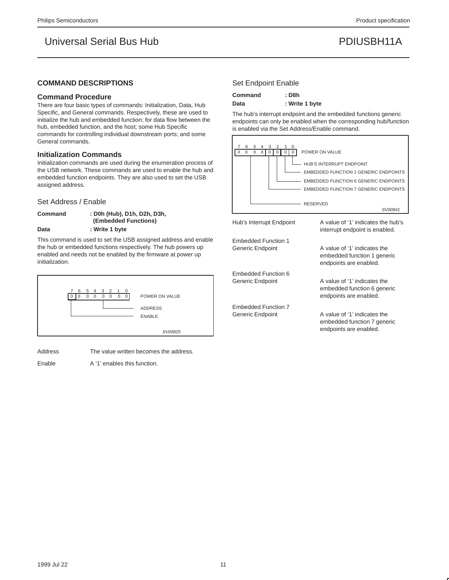### **COMMAND DESCRIPTIONS**

#### **Command Procedure**

There are four basic types of commands: Initialization, Data, Hub Specific, and General commands. Respectively, these are used to initialize the hub and embedded function; for data flow between the hub, embedded function, and the host; some Hub Specific commands for controlling individual downstream ports; and some General commands.

#### **Initialization Commands**

Initialization commands are used during the enumeration process of the USB network. These commands are used to enable the hub and embedded function endpoints. They are also used to set the USB assigned address.

#### Set Address / Enable

**Command : D0h (Hub), D1h, D2h, D3h, (Embedded Functions) Data : Write 1 byte**

This command is used to set the USB assigned address and enable the hub or embedded functions respectively. The hub powers up enabled and needs not be enabled by the firmware at power up initialization.



Address The value written becomes the address.

Enable A '1' enables this function.

#### Set Endpoint Enable

| <b>Command</b> | : D8h          |
|----------------|----------------|
| Data           | : Write 1 byte |

The hub's interrupt endpoint and the embedded functions generic endpoints can only be enabled when the corresponding hub/function is enabled via the Set Address/Enable command.

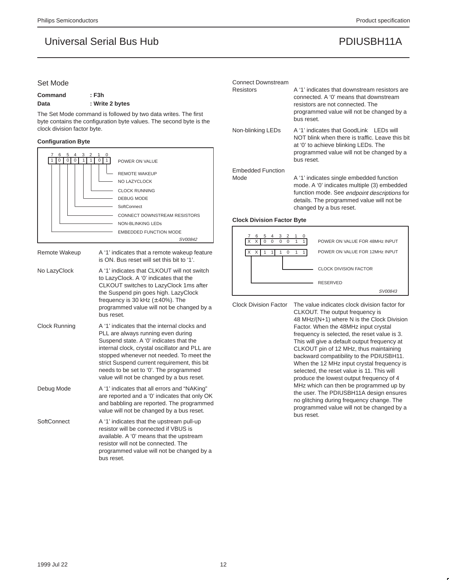#### Set Mode

| Command | : F3h           |  |
|---------|-----------------|--|
| Data    | : Write 2 bytes |  |

The Set Mode command is followed by two data writes. The first byte contains the configuration byte values. The second byte is the clock division factor byte.

#### **Configuration Byte**

| 5<br>3 2<br>7<br>6<br>$\Omega$<br>4<br>1 |                               |
|------------------------------------------|-------------------------------|
|                                          | POWER ON VALUE                |
|                                          | <b>REMOTE WAKEUP</b>          |
|                                          | NO LAZYCLOCK                  |
|                                          | <b>CLOCK RUNNING</b>          |
|                                          | <b>DEBUG MODE</b>             |
|                                          | SoftConnect™                  |
|                                          | CONNECT DOWNSTREAM RESISTORS  |
|                                          | NON-BLINKING LEDS             |
|                                          | <b>EMBEDDED FUNCTION MODE</b> |
|                                          | <i>SV00842</i>                |

| Remote Wakeup | A '1' indicates that a remote wakeup feature<br>is ON. Bus reset will set this bit to '1'.                                                                                                                                                                                                                                                                         |
|---------------|--------------------------------------------------------------------------------------------------------------------------------------------------------------------------------------------------------------------------------------------------------------------------------------------------------------------------------------------------------------------|
| No LazyClock  | A '1' indicates that CLKOUT will not switch<br>to LazyClock. A '0' indicates that the<br>CLKOUT switches to LazyClock 1ms after<br>the Suspend pin goes high. LazyClock<br>frequency is 30 kHz $(\pm 40\%)$ . The<br>programmed value will not be changed by a<br>bus reset.                                                                                       |
| Clock Running | A '1' indicates that the internal clocks and<br>PLL are always running even during<br>Suspend state. A '0' indicates that the<br>internal clock, crystal oscillator and PLL are<br>stopped whenever not needed. To meet the<br>strict Suspend current requirement, this bit<br>needs to be set to '0'. The programmed<br>value will not be changed by a bus reset. |
| Debug Mode    | A '1' indicates that all errors and "NAKing"<br>are reported and a '0' indicates that only OK<br>and babbling are reported. The programmed<br>value will not be changed by a bus reset.                                                                                                                                                                            |
| SoftConnect™  | A '1' indicates that the upstream pull-up<br>resistor will be connected if VBUS is<br>available. A '0' means that the upstream<br>resistor will not be connected. The<br>programmed value will not be changed by a<br>bus reset.                                                                                                                                   |

### Connect Downstream Resistors **A** '1' indicates that downstream resistors are connected. A '0' means that downstream resistors are not connected. The programmed value will not be changed by a bus reset. Non-blinking LEDs A '1' indicates that GoodLink™ LEDs will NOT blink when there is traffic. Leave this bit at '0' to achieve blinking LEDs. The programmed value will not be changed by a bus reset. Embedded Function Mode A '1' indicates single embedded function mode. A '0' indicates multiple (3) embedded function mode. See endpoint descriptions for details. The programmed value will not be changed by a bus reset.

#### **Clock Division Factor Byte**



Clock Division Factor The value indicates clock division factor for CLKOUT. The output frequency is 48 MHz/(N+1) where N is the Clock Division Factor. When the 48MHz input crystal frequency is selected, the reset value is 3. This will give a default output frequency at CLKOUT pin of 12 MHz, thus maintaining backward compatibility to the PDIUSBH11. When the 12 MHz input crystal frequency is selected, the reset value is 11. This will produce the lowest output frequency of 4 MHz which can then be programmed up by the user. The PDIUSBH11A design ensures no glitching during frequency change. The programmed value will not be changed by a bus reset.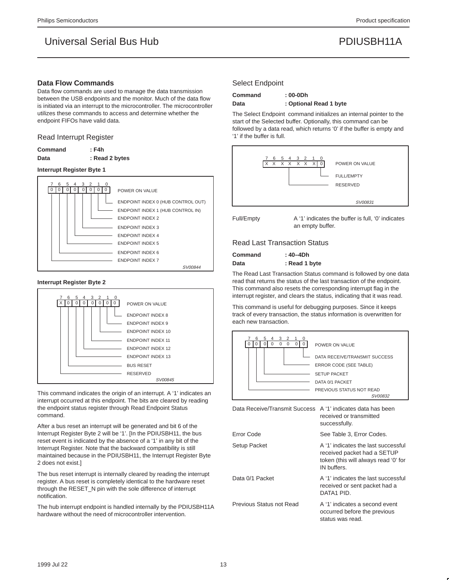#### **Data Flow Commands**

Data flow commands are used to manage the data transmission between the USB endpoints and the monitor. Much of the data flow is initiated via an interrupt to the microcontroller. The microcontroller utilizes these commands to access and determine whether the endpoint FIFOs have valid data.

#### Read Interrupt Register

| Command | : F4h          |
|---------|----------------|
| Data    | : Read 2 bytes |

#### **Interrupt Register Byte 1**



#### **Interrupt Register Byte 2**



This command indicates the origin of an interrupt. A '1' indicates an interrupt occurred at this endpoint. The bits are cleared by reading the endpoint status register through Read Endpoint Status command.

After a bus reset an interrupt will be generated and bit 6 of the Interrupt Register Byte 2 will be '1'. [In the PDIUSBH11, the bus reset event is indicated by the absence of a '1' in any bit of the Interrupt Register. Note that the backward compatibility is still maintained because in the PDIUSBH11, the Interrupt Register Byte 2 does not exist.]

The bus reset interrupt is internally cleared by reading the interrupt register. A bus reset is completely identical to the hardware reset through the RESET\_N pin with the sole difference of interrupt notification.

The hub interrupt endpoint is handled internally by the PDIUSBH11A hardware without the need of microcontroller intervention.

#### Select Endpoint

**Command : 00-0Dh Data : Optional Read 1 byte**

The Select Endpoint command initializes an internal pointer to the start of the Selected buffer. Optionally, this command can be followed by a data read, which returns '0' if the buffer is empty and '1' if the buffer is full.



Full/Empty A '1' indicates the buffer is full, '0' indicates an empty buffer.

#### Read Last Transaction Status

| Command | : 40–4Dh      |
|---------|---------------|
| Data    | : Read 1 byte |

The Read Last Transaction Status command is followed by one data read that returns the status of the last transaction of the endpoint. This command also resets the corresponding interrupt flag in the interrupt register, and clears the status, indicating that it was read.

This command is useful for debugging purposes. Since it keeps track of every transaction, the status information is overwritten for each new transaction.



Data Receive/Transmit Success A '1' indicates data has been received or transmitted successfully.

| Error Code               | See Table 3, Error Codes.                                                                                                 |
|--------------------------|---------------------------------------------------------------------------------------------------------------------------|
| Setup Packet             | A '1' indicates the last successful<br>received packet had a SETUP<br>token (this will always read '0' for<br>IN buffers. |
| Data 0/1 Packet          | A '1' indicates the last successful<br>received or sent packet had a<br>DATA1 PID.                                        |
| Previous Status not Read | A '1' indicates a second event<br>occurred before the previous<br>status was read.                                        |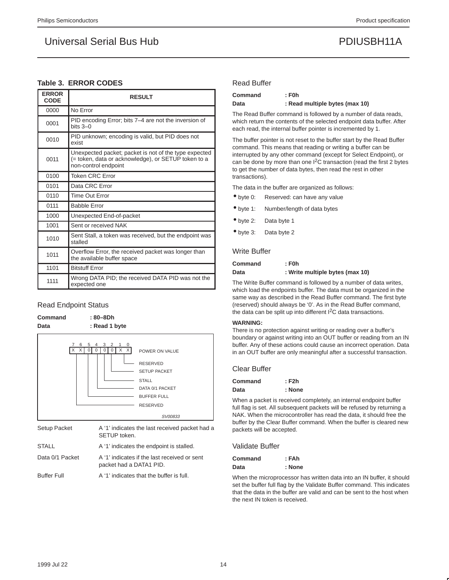### **Table 3. ERROR CODES**

| <b>ERROR</b><br><b>CODE</b> | <b>RESULT</b>                                                                                                                        |
|-----------------------------|--------------------------------------------------------------------------------------------------------------------------------------|
| 0000                        | No Error                                                                                                                             |
| 0001                        | PID encoding Error; bits 7–4 are not the inversion of<br>$bits$ 3-0                                                                  |
| 0010                        | PID unknown; encoding is valid, but PID does not<br>exist                                                                            |
| 0011                        | Unexpected packet; packet is not of the type expected<br>(= token, data or acknowledge), or SETUP token to a<br>non-control endpoint |
| 0100                        | <b>Token CRC Error</b>                                                                                                               |
| 0101                        | Data CRC Error                                                                                                                       |
| 0110                        | Time Out Error                                                                                                                       |
| 0111                        | <b>Babble Error</b>                                                                                                                  |
| 1000                        | Unexpected End-of-packet                                                                                                             |
| 1001                        | Sent or received NAK                                                                                                                 |
| 1010                        | Sent Stall, a token was received, but the endpoint was<br>stalled                                                                    |
| 1011                        | Overflow Error, the received packet was longer than<br>the available buffer space                                                    |
| 1101                        | <b>Bitstuff Error</b>                                                                                                                |
| 1111                        | Wrong DATA PID; the received DATA PID was not the<br>expected one                                                                    |

#### Read Endpoint Status

| Command<br>Data     | $:80 - 8Dh$<br>: Read 1 byte                             |                                                                                                                                                 |
|---------------------|----------------------------------------------------------|-------------------------------------------------------------------------------------------------------------------------------------------------|
|                     | 5<br>6<br>3<br>2<br>0<br>4<br>1<br>X<br>X<br>X<br>0<br>X | POWER ON VALUE<br><b>RESERVED</b><br><b>SETUP PACKET</b><br><b>STALL</b><br>DATA 0/1 PACKET<br><b>BUFFER FULL</b><br><b>RESERVED</b><br>SV00833 |
| <b>Setup Packet</b> |                                                          | A '1' indicates the last received packet had a                                                                                                  |

| Setup Packet       | A 1 Indicates the last received packet had a<br>SETUP token.            |
|--------------------|-------------------------------------------------------------------------|
| STALL              | A '1' indicates the endpoint is stalled.                                |
| Data 0/1 Packet    | A '1' indicates if the last received or sent<br>packet had a DATA1 PID. |
| <b>Buffer Full</b> | A '1' indicates that the buffer is full.                                |

When the microprocessor has written data into an IN buffer, it should set the buffer full flag by the Validate Buffer command. This indicates that the data in the buffer are valid and can be sent to the host when the next IN token is received.

#### Read Buffer

| Command | $:$ F0h                        |
|---------|--------------------------------|
| Data    | : Read multiple bytes (max 10) |

The Read Buffer command is followed by a number of data reads, which return the contents of the selected endpoint data buffer. After each read, the internal buffer pointer is incremented by 1.

The buffer pointer is not reset to the buffer start by the Read Buffer command. This means that reading or writing a buffer can be interrupted by any other command (except for Select Endpoint), or can be done by more than one I2C transaction (read the first 2 bytes to get the number of data bytes, then read the rest in other transactions).

The data in the buffer are organized as follows:

- byte 0: Reserved: can have any value
- byte 1: Number/length of data bytes
- byte 2: Data byte 1
- byte 3: Data byte 2

#### Write Buffer

| Command | $:$ F0h                         |
|---------|---------------------------------|
| Data    | : Write multiple bytes (max 10) |

The Write Buffer command is followed by a number of data writes, which load the endpoints buffer. The data must be organized in the same way as described in the Read Buffer command. The first byte (reserved) should always be '0'. As in the Read Buffer command, the data can be split up into different I2C data transactions.

#### **WARNING:**

There is no protection against writing or reading over a buffer's boundary or against writing into an OUT buffer or reading from an IN buffer. Any of these actions could cause an incorrect operation. Data in an OUT buffer are only meaningful after a successful transaction.

Clear Buffer

| Command | $:$ F2h |
|---------|---------|
| Data    | : None  |

When a packet is received completely, an internal endpoint buffer full flag is set. All subsequent packets will be refused by returning a NAK. When the microcontroller has read the data, it should free the buffer by the Clear Buffer command. When the buffer is cleared new packets will be accepted.

#### Validate Buffer

| Command | : FAh  |
|---------|--------|
| Data    | : None |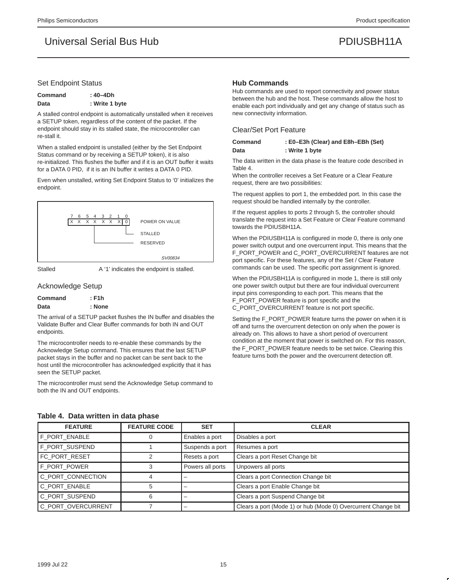#### Set Endpoint Status

| <b>Command</b> | : 40–4Dh       |
|----------------|----------------|
| Data           | : Write 1 byte |

A stalled control endpoint is automatically unstalled when it receives a SETUP token, regardless of the content of the packet. If the endpoint should stay in its stalled state, the microcontroller can re-stall it.

When a stalled endpoint is unstalled (either by the Set Endpoint Status command or by receiving a SETUP token), it is also re-initialized. This flushes the buffer and if it is an OUT buffer it waits for a DATA 0 PID, if it is an IN buffer it writes a DATA 0 PID.

Even when unstalled, writing Set Endpoint Status to '0' initializes the endpoint.



Stalled **A** '1' indicates the endpoint is stalled.

#### Acknowledge Setup

| Command | : F1h  |
|---------|--------|
| Data    | : None |

The arrival of a SETUP packet flushes the IN buffer and disables the Validate Buffer and Clear Buffer commands for both IN and OUT endpoints.

The microcontroller needs to re-enable these commands by the Acknowledge Setup command. This ensures that the last SETUP packet stays in the buffer and no packet can be sent back to the host until the microcontroller has acknowledged explicitly that it has seen the SETUP packet.

The microcontroller must send the Acknowledge Setup command to both the IN and OUT endpoints.

#### **Hub Commands**

Hub commands are used to report connectivity and power status between the hub and the host. These commands allow the host to enable each port individually and get any change of status such as new connectivity information.

#### Clear/Set Port Feature

| Command | : E0–E3h (Clear) and E8h–EBh (Set) |
|---------|------------------------------------|
| Data    | : Write 1 byte                     |

The data written in the data phase is the feature code described in Table 4.

When the controller receives a Set Feature or a Clear Feature request, there are two possibilities:

The request applies to port 1, the embedded port. In this case the request should be handled internally by the controller.

If the request applies to ports 2 through 5, the controller should translate the request into a Set Feature or Clear Feature command towards the PDIUSBH11A.

When the PDIUSBH11A is configured in mode 0, there is only one power switch output and one overcurrent input. This means that the F\_PORT\_POWER and C\_PORT\_OVERCURRENT features are not port specific. For these features, any of the Set / Clear Feature commands can be used. The specific port assignment is ignored.

When the PDIUSBH11A is configured in mode 1, there is still only one power switch output but there are four individual overcurrent input pins corresponding to each port. This means that the F\_PORT\_POWER feature is port specific and the C\_PORT\_OVERCURRENT feature is not port specific.

Setting the F\_PORT\_POWER feature turns the power on when it is off and turns the overcurrent detection on only when the power is already on. This allows to have a short period of overcurrent condition at the moment that power is switched on. For this reason, the F\_PORT\_POWER feature needs to be set twice. Clearing this feature turns both the power and the overcurrent detection off.

| <b>FEATURE</b>     | <b>FEATURE CODE</b> | <b>SET</b>       | <b>CLEAR</b>                                                  |
|--------------------|---------------------|------------------|---------------------------------------------------------------|
| F PORT ENABLE      |                     | Enables a port   | Disables a port                                               |
| F PORT SUSPEND     |                     | Suspends a port  | Resumes a port                                                |
| FC_PORT_RESET      |                     | Resets a port    | Clears a port Reset Change bit                                |
| F PORT POWER       |                     | Powers all ports | Unpowers all ports                                            |
| C PORT CONNECTION  |                     |                  | Clears a port Connection Change bit                           |
| C PORT ENABLE      |                     |                  | Clears a port Enable Change bit                               |
| C PORT SUSPEND     |                     |                  | Clears a port Suspend Change bit                              |
| C_PORT_OVERCURRENT |                     |                  | Clears a port (Mode 1) or hub (Mode 0) Overcurrent Change bit |

#### **Table 4. Data written in data phase**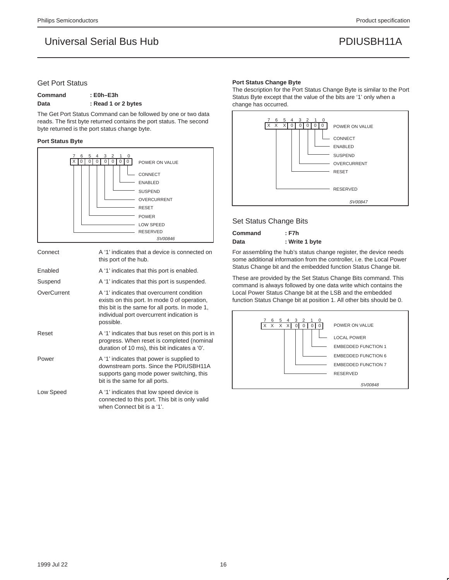### Get Port Status

### **Command : E0h–E3h** Data : Read 1 or 2 bytes

The Get Port Status Command can be followed by one or two data reads. The first byte returned contains the port status. The second byte returned is the port status change byte.

#### **Port Status Byte**



| Connect     | A '1' indicates that a device is connected on<br>this port of the hub.                                                                                                                                 |
|-------------|--------------------------------------------------------------------------------------------------------------------------------------------------------------------------------------------------------|
| Enabled     | A '1' indicates that this port is enabled.                                                                                                                                                             |
| Suspend     | A '1' indicates that this port is suspended.                                                                                                                                                           |
| OverCurrent | A '1' indicates that overcurrent condition<br>exists on this port. In mode 0 of operation,<br>this bit is the same for all ports. In mode 1,<br>individual port overcurrent indication is<br>possible. |
| Reset       | A '1' indicates that bus reset on this port is in<br>progress. When reset is completed (nominal<br>duration of 10 ms), this bit indicates a '0'.                                                       |
| Power       | A '1' indicates that power is supplied to<br>downstream ports. Since the PDIUSBH11A<br>supports gang mode power switching, this<br>bit is the same for all ports.                                      |
| Low Speed   | A '1' indicates that low speed device is<br>connected to this port. This bit is only valid<br>when Connect bit is a '1'.                                                                               |

#### **Port Status Change Byte**

The description for the Port Status Change Byte is similar to the Port Status Byte except that the value of the bits are '1' only when a change has occurred.



### Set Status Change Bits

| Command | : F7h          |
|---------|----------------|
| Data    | : Write 1 byte |

For assembling the hub's status change register, the device needs some additional information from the controller, i.e. the Local Power Status Change bit and the embedded function Status Change bit.

These are provided by the Set Status Change Bits command. This command is always followed by one data write which contains the Local Power Status Change bit at the LSB and the embedded function Status Change bit at position 1. All other bits should be 0.

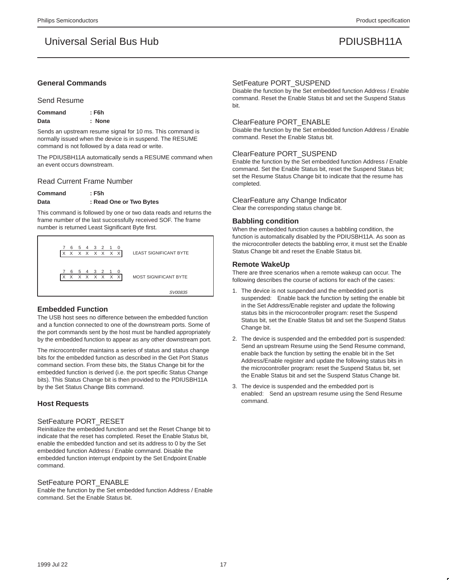#### **General Commands**

#### Send Resume

| Command | $:$ F6h |
|---------|---------|
| Data    | : None  |

Sends an upstream resume signal for 10 ms. This command is normally issued when the device is in suspend. The RESUME command is not followed by a data read or write.

The PDIUSBH11A automatically sends a RESUME command when an event occurs downstream.

#### Read Current Frame Number

### **Command : F5h** Data : Read One or Two Bytes

This command is followed by one or two data reads and returns the frame number of the last successfully received SOF. The frame number is returned Least Significant Byte first.



#### **Embedded Function**

The USB host sees no difference between the embedded function and a function connected to one of the downstream ports. Some of the port commands sent by the host must be handled appropriately by the embedded function to appear as any other downstream port.

The microcontroller maintains a series of status and status change bits for the embedded function as described in the Get Port Status command section. From these bits, the Status Change bit for the embedded function is derived (i.e. the port specific Status Change bits). This Status Change bit is then provided to the PDIUSBH11A by the Set Status Change Bits command.

### **Host Requests**

#### SetFeature PORT\_RESET

Reinitialize the embedded function and set the Reset Change bit to indicate that the reset has completed. Reset the Enable Status bit, enable the embedded function and set its address to 0 by the Set embedded function Address / Enable command. Disable the embedded function interrupt endpoint by the Set Endpoint Enable command.

#### SetFeature PORT\_ENABLE

Enable the function by the Set embedded function Address / Enable command. Set the Enable Status bit.

#### SetFeature PORT\_SUSPEND

Disable the function by the Set embedded function Address / Enable command. Reset the Enable Status bit and set the Suspend Status bit.

#### ClearFeature PORT\_ENABLE

Disable the function by the Set embedded function Address / Enable command. Reset the Enable Status bit.

#### ClearFeature PORT\_SUSPEND

Enable the function by the Set embedded function Address / Enable command. Set the Enable Status bit, reset the Suspend Status bit; set the Resume Status Change bit to indicate that the resume has completed.

#### ClearFeature any Change Indicator

Clear the corresponding status change bit.

#### **Babbling condition**

When the embedded function causes a babbling condition, the function is automatically disabled by the PDIUSBH11A. As soon as the microcontroller detects the babbling error, it must set the Enable Status Change bit and reset the Enable Status bit.

#### **Remote WakeUp**

There are three scenarios when a remote wakeup can occur. The following describes the course of actions for each of the cases:

- 1. The device is not suspended and the embedded port is suspended: Enable back the function by setting the enable bit in the Set Address/Enable register and update the following status bits in the microcontroller program: reset the Suspend Status bit, set the Enable Status bit and set the Suspend Status Change bit.
- 2. The device is suspended and the embedded port is suspended: Send an upstream Resume using the Send Resume command, enable back the function by setting the enable bit in the Set Address/Enable register and update the following status bits in the microcontroller program: reset the Suspend Status bit, set the Enable Status bit and set the Suspend Status Change bit.
- 3. The device is suspended and the embedded port is enabled: Send an upstream resume using the Send Resume command.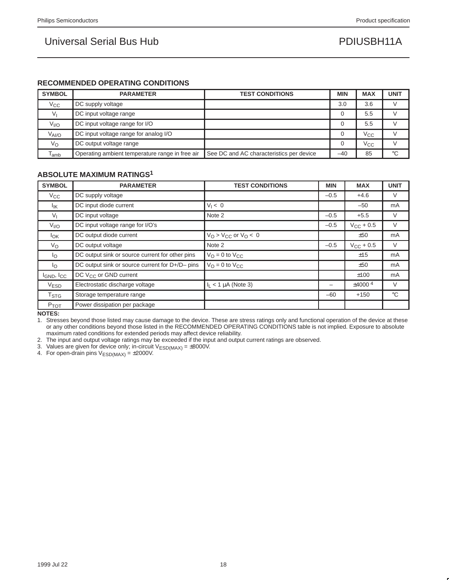### **RECOMMENDED OPERATING CONDITIONS**

| <b>SYMBOL</b>      | <b>PARAMETER</b>                                | <b>TEST CONDITIONS</b>                   | <b>MIN</b> | <b>MAX</b>   | <b>UNIT</b> |
|--------------------|-------------------------------------------------|------------------------------------------|------------|--------------|-------------|
| $V_{\rm CC}$       | DC supply voltage                               |                                          | 3.0        | 3.6          |             |
| V                  | DC input voltage range                          |                                          |            | 5.5          |             |
| V <sub>I/O</sub>   | DC input voltage range for I/O                  |                                          |            | 5.5          |             |
| $V_{\text{Al/O}}$  | DC input voltage range for analog I/O           |                                          |            | $V_{\rm CC}$ |             |
| $V_{\rm O}$        | DC output voltage range                         |                                          |            | $V_{\rm CC}$ |             |
| $T_{\mathsf{amb}}$ | Operating ambient temperature range in free air | See DC and AC characteristics per device | $-40$      | 85           | $^{\circ}C$ |

### **ABSOLUTE MAXIMUM RATINGS1**

| <b>SYMBOL</b>        | <b>PARAMETER</b>                                | <b>TEST CONDITIONS</b>              | <b>MIN</b> | <b>MAX</b>     | <b>UNIT</b> |
|----------------------|-------------------------------------------------|-------------------------------------|------------|----------------|-------------|
| $V_{\rm CC}$         | DC supply voltage                               |                                     | $-0.5$     | $+4.6$         | $\vee$      |
| $I_{\mathsf{IK}}$    | DC input diode current                          | $V_1 < 0$                           |            | $-50$          | mA          |
| $V_{\parallel}$      | DC input voltage                                | Note 2                              | $-0.5$     | $+5.5$         | V           |
| V <sub>I/O</sub>     | DC input voltage range for I/O's                |                                     | $-0.5$     | $V_{CC}$ + 0.5 | V           |
| $I_{OK}$             | DC output diode current                         | $V_Q > V_{CC}$ or $V_Q < 0$         |            | ±50            | mA          |
| Vo                   | DC output voltage                               | Note 2                              | $-0.5$     | $V_{CC}$ + 0.5 | V           |
| $I_{\rm O}$          | DC output sink or source current for other pins | $V_O = 0$ to $V_{CC}$               |            | ±15            | mA          |
| $I_{\rm O}$          | DC output sink or source current for D+/D- pins | $V_{\Omega} = 0$ to $V_{\text{CC}}$ |            | ±50            | mA          |
| $I_{GND}$ , $I_{CC}$ | DC $V_{CC}$ or GND current                      |                                     |            | ±100           | mA          |
| V <sub>ESD</sub>     | Electrostatic discharge voltage                 | $I1$ < 1 µA (Note 3)                |            | ±40004         | V           |
| T <sub>STG</sub>     | Storage temperature range                       |                                     | $-60$      | $+150$         | $^{\circ}C$ |
| P <sub>TOT</sub>     | Power dissipation per package                   |                                     |            |                |             |

**NOTES:**

1. Stresses beyond those listed may cause damage to the device. These are stress ratings only and functional operation of the device at these or any other conditions beyond those listed in the RECOMMENDED OPERATING CONDITIONS table is not implied. Exposure to absolute maximum rated conditions for extended periods may affect device reliability.

2. The input and output voltage ratings may be exceeded if the input and output current ratings are observed.

3. Values are given for device only; in-circuit  $V_{ESD(MAX)} = \pm 8000V$ .

4. For open-drain pins  $V_{ESD(MAX)} = \pm 2000V$ .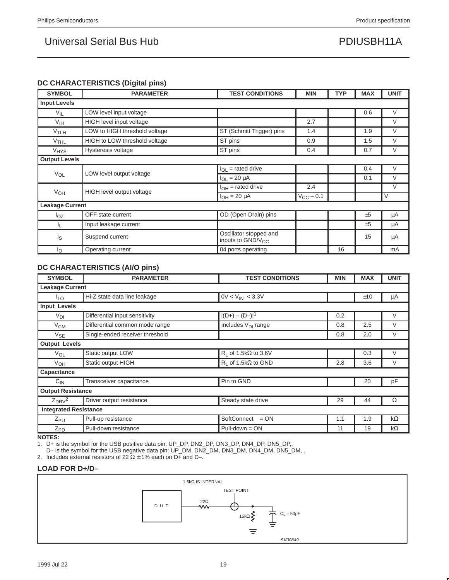### **DC CHARACTERISTICS (Digital pins)**

| <b>SYMBOL</b>          | <b>PARAMETER</b>              | <b>TEST CONDITIONS</b>                                  | <b>MIN</b>         | <b>TYP</b> | <b>MAX</b> | <b>UNIT</b> |  |  |
|------------------------|-------------------------------|---------------------------------------------------------|--------------------|------------|------------|-------------|--|--|
| <b>Input Levels</b>    |                               |                                                         |                    |            |            |             |  |  |
| $V_{IL}$               | LOW level input voltage       |                                                         |                    |            | 0.6        | $\vee$      |  |  |
| $V_{IH}$               | HIGH level input voltage      |                                                         | 2.7                |            |            | $\vee$      |  |  |
| V <sub>TLH</sub>       | LOW to HIGH threshold voltage | ST (Schmitt Trigger) pins                               | 1.4                |            | 1.9        | $\vee$      |  |  |
| $V$ THL                | HIGH to LOW threshold voltage | ST pins                                                 | 0.9                |            | 1.5        | $\vee$      |  |  |
| <b>V<sub>HYS</sub></b> | Hysteresis voltage            | ST pins                                                 | 0.4                |            | 0.7        | V           |  |  |
| <b>Output Levels</b>   |                               |                                                         |                    |            |            |             |  |  |
|                        | LOW level output voltage      | $I_{OL}$ = rated drive                                  |                    |            | 0.4        | V           |  |  |
| $V_{OL}$               |                               | $I_{OL}$ = 20 $\mu$ A                                   |                    |            | 0.1        | V           |  |  |
|                        | HIGH level output voltage     | $I_{OH}$ = rated drive                                  | 2.4                |            |            | V           |  |  |
| $V_{OH}$               |                               | $I_{OH} = 20 \mu A$                                     | $V_{\rm CC}$ – 0.1 |            |            | V           |  |  |
| <b>Leakage Current</b> |                               |                                                         |                    |            |            |             |  |  |
| $I_{OZ}$               | <b>OFF</b> state current      | OD (Open Drain) pins                                    |                    |            | ±5         | μA          |  |  |
| IL.                    | Input leakage current         |                                                         |                    |            | ±5         | μA          |  |  |
| ls                     | Suspend current               | Oscillator stopped and<br>inputs to GND/V <sub>CC</sub> |                    |            | 15         | μA          |  |  |
| Ιo                     | Operating current             | 04 ports operating                                      |                    | 16         |            | mA          |  |  |

### **DC CHARACTERISTICS (AI/O pins)**

| <b>SYMBOL</b>            | <b>PARAMETER</b>                | <b>TEST CONDITIONS</b>         | <b>MIN</b> | <b>MAX</b> | <b>UNIT</b> |  |
|--------------------------|---------------------------------|--------------------------------|------------|------------|-------------|--|
|                          | <b>Leakage Current</b>          |                                |            |            |             |  |
| <sup>I</sup> LO          | Hi-Z state data line leakage    | $0V < V_{IN} < 3.3V$           |            | ±10        | μA          |  |
| <b>Input Levels</b>      |                                 |                                |            |            |             |  |
| $V_{DI}$                 | Differential input sensitivity  | $ (D+) - (D-) ^1$              | 0.2        |            | V           |  |
| $V_{CM}$                 | Differential common mode range  | Includes $V_{DI}$ range        | 0.8        | 2.5        | V           |  |
| $V_{SE}$                 | Single-ended receiver threshold |                                | 0.8        | 2.0        | V           |  |
| <b>Output Levels</b>     |                                 |                                |            |            |             |  |
| $V_{OL}$                 | Static output LOW               | $R_1$ of 1.5k $\Omega$ to 3.6V |            | 0.3        | $\vee$      |  |
| $V_{OH}$                 | Static output HIGH              | $R_L$ of 1.5k $\Omega$ to GND  | 2.8        | 3.6        | V           |  |
| Capacitance              |                                 |                                |            |            |             |  |
| $C_{IN}$                 | Transceiver capacitance         | Pin to GND                     |            | 20         | pF          |  |
| <b>Output Resistance</b> |                                 |                                |            |            |             |  |
| $Z_{DRV}^2$              | Driver output resistance        | Steady state drive             | 29         | 44         | $\Omega$    |  |
|                          | <b>Integrated Resistance</b>    |                                |            |            |             |  |
| $Z_{PU}$                 | Pull-up resistance              | SoftConnect <sup>™</sup> = ON  | 1.1        | 1.9        | $k\Omega$   |  |
| $Z_{\underline{PD}}$     | Pull-down resistance            | $Pull-down = ON$               | 11         | 19         | $k\Omega$   |  |

**NOTES:**

1. D+ is the symbol for the USB positive data pin: UP\_DP, DN2\_DP, DN3\_DP, DN4\_DP, DN5\_DP,.

D– is the symbol for the USB negative data pin: UP\_DM, DN2\_DM, DN3\_DM, DN4\_DM, DN5\_DM, .

2. Includes external resistors of 22  $\Omega \pm 1$ % each on D+ and D-.

### **LOAD FOR D+/D–**

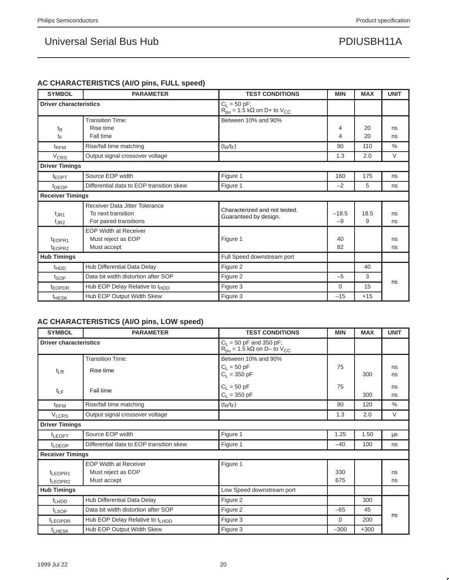## **AC CHARACTERISTICS (AI/O pins, FULL speed)**

| <b>SYMBOL</b>                            | <b>PARAMETER</b>                                                               | <b>TEST CONDITIONS</b>                                                           | <b>MIN</b>      | <b>MAX</b> | <b>UNIT</b> |
|------------------------------------------|--------------------------------------------------------------------------------|----------------------------------------------------------------------------------|-----------------|------------|-------------|
| <b>Driver characteristics</b>            |                                                                                | $C_L = 50$ pF;<br>$R_{\text{pu}} = 1.5 \text{ k}\Omega$ on D+ to V <sub>CC</sub> |                 |            |             |
| $t_{\mathsf{R}}$<br>tF                   | <b>Transition Time:</b><br>Rise time<br>Fall time                              | Between 10% and 90%                                                              | 4<br>4          | 20<br>20   | ns<br>ns    |
| t <sub>RFM</sub>                         | Rise/fall time matching                                                        | $(t_R/t_F)$                                                                      | 90              | 110        | $\%$        |
| <b>V<sub>CRS</sub></b>                   | Output signal crossover voltage                                                |                                                                                  | 1.3             | 2.0        | $\vee$      |
| <b>Driver Timings</b>                    |                                                                                |                                                                                  |                 |            |             |
| t <sub>EOPT</sub>                        | Source EOP width                                                               | Figure 1                                                                         | 160             | 175        | ns          |
| <sup>t</sup> DEOP                        | Differential data to EOP transition skew                                       | Figure 1                                                                         | $-2$            | 5          | ns          |
| <b>Receiver Timings</b>                  |                                                                                |                                                                                  |                 |            |             |
| $t_{\rm JR1}$<br>$t_{\text{JR2}}$        | Receiver Data Jitter Tolerance<br>To next transition<br>For paired transitions | Characterized and not tested.<br>Guaranteed by design.                           | $-18.5$<br>$-9$ | 18.5<br>9  | ns<br>ns    |
| t <sub>EOPR1</sub><br>t <sub>EOPR2</sub> | <b>EOP Width at Receiver</b><br>Must reject as EOP<br>Must accept              | Figure 1                                                                         | 40<br>82        |            | ns<br>ns    |
| <b>Hub Timings</b>                       |                                                                                | Full Speed downstream port                                                       |                 |            |             |
| <sup>t</sup> HDD                         | Hub Differential Data Delay                                                    | Figure 2                                                                         |                 | 40         |             |
| t <sub>SOP</sub>                         | Data bit width distortion after SOP                                            | Figure 2                                                                         | $-5$            | 3          |             |
| t <sub>EOPDR</sub>                       | Hub EOP Delay Relative to t <sub>HDD</sub>                                     | Figure 3                                                                         | $\Omega$        | 15         | ns          |
| <b>THESK</b>                             | Hub EOP Output Width Skew                                                      | Figure 3                                                                         | $-15$           | $+15$      |             |

## **AC CHARACTERISTICS (AI/O pins, LOW speed)**

| <b>SYMBOL</b>                 | <b>PARAMETER</b>                            | <b>TEST CONDITIONS</b>                                                                      | <b>MIN</b> | <b>MAX</b> | <b>UNIT</b>   |
|-------------------------------|---------------------------------------------|---------------------------------------------------------------------------------------------|------------|------------|---------------|
| <b>Driver characteristics</b> |                                             | $C_L$ = 50 pF and 350 pF;<br>$R_{\text{pu}} = 1.5 \text{ k}\Omega$ on D- to $V_{\text{CC}}$ |            |            |               |
|                               | <b>Transition Time:</b>                     | Between 10% and 90%                                                                         |            |            |               |
| $t_{LR}$                      | Rise time                                   | $C_L = 50$ pF                                                                               | 75         |            | ns            |
|                               |                                             | $C_L = 350 pF$                                                                              |            | 300        | ns            |
|                               |                                             | $C_L = 50$ pF                                                                               | 75         |            | ns            |
| $t_{LF}$                      | Fall time                                   | $C_L = 350 pF$                                                                              |            | 300        | ns            |
| t <sub>RFM</sub>              | Rise/fall time matching                     | $(t_R/t_F)$                                                                                 | 80         | 120        | $\frac{0}{0}$ |
| <b>V<sub>LCRS</sub></b>       | Output signal crossover voltage             |                                                                                             | 1.3        | 2.0        | $\vee$        |
| <b>Driver Timings</b>         |                                             |                                                                                             |            |            |               |
| <sup>t</sup> LEOPT            | Source EOP width                            | Figure 1                                                                                    | 1.25       | 1.50       | μs            |
| <sup>t</sup> LDEOP            | Differential data to EOP transition skew    | Figure 1                                                                                    | $-40$      | 100        | ns            |
| <b>Receiver Timings</b>       |                                             |                                                                                             |            |            |               |
|                               | <b>EOP Width at Receiver</b>                | Figure 1                                                                                    |            |            |               |
| t <sub>LEOPR1</sub>           | Must reject as EOP                          |                                                                                             | 330        |            | ns            |
| t <sub>LEOPR2</sub>           | Must accept                                 |                                                                                             | 675        |            | ns            |
| <b>Hub Timings</b>            |                                             | Low Speed downstream port                                                                   |            |            |               |
| <sup>t</sup> LHDD             | Hub Differential Data Delay                 | Figure 2                                                                                    |            | 300        |               |
| t <sub>LSOP</sub>             | Data bit width distortion after SOP         | Figure 2                                                                                    | $-65$      | 45         |               |
| t <sub>LEOPDR</sub>           | Hub EOP Delay Relative to t <sub>LHDD</sub> | Figure 3                                                                                    | $\Omega$   | 200        | ns            |
| t <sub>LHESK</sub>            | Hub EOP Output Width Skew                   | Figure 3                                                                                    | $-300$     | $+300$     |               |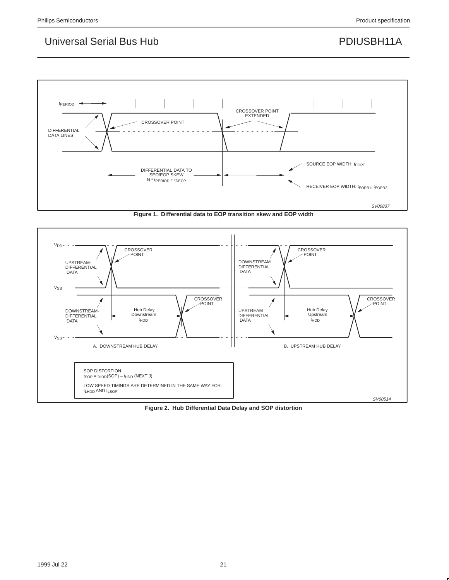

**Figure 1. Differential data to EOP transition skew and EOP width**



**Figure 2. Hub Differential Data Delay and SOP distortion**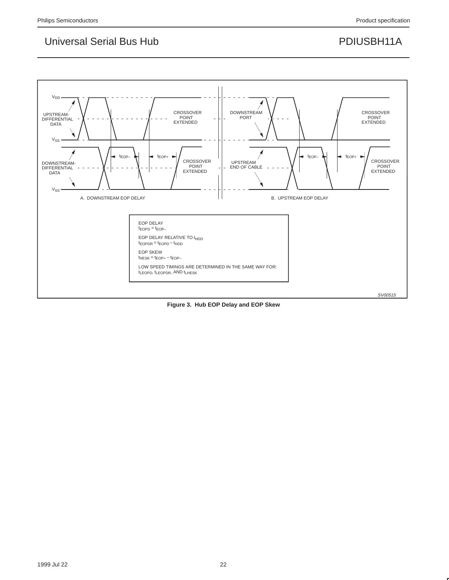

**Figure 3. Hub EOP Delay and EOP Skew**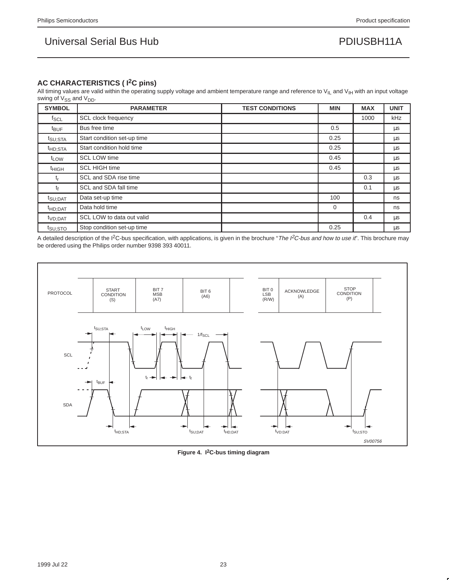### **AC CHARACTERISTICS ( I2C pins)**

All timing values are valid within the operating supply voltage and ambient temperature range and reference to  $V_{IL}$  and  $V_{IH}$  with an input voltage swing of V<sub>SS</sub> and V<sub>DD</sub>.

| <b>SYMBOL</b>       | <b>PARAMETER</b>            | <b>TEST CONDITIONS</b> | <b>MIN</b> | <b>MAX</b> | <b>UNIT</b> |
|---------------------|-----------------------------|------------------------|------------|------------|-------------|
| $f_{SCL}$           | <b>SCL clock frequency</b>  |                        |            | 1000       | kHz         |
| $t_{\text{BUF}}$    | Bus free time               |                        | 0.5        |            | μs          |
| t <sub>SU;STA</sub> | Start condition set-up time |                        | 0.25       |            | μs          |
| <sup>t</sup> HD;STA | Start condition hold time   |                        | 0.25       |            | μs          |
| t <sub>LOW</sub>    | <b>SCL LOW time</b>         |                        | 0.45       |            | μs          |
| <sup>t</sup> HIGH   | <b>SCL HIGH time</b>        |                        | 0.45       |            | $\mu$ s     |
| t <sub>r</sub>      | SCL and SDA rise time       |                        |            | 0.3        | μs          |
| tŕ                  | SCL and SDA fall time       |                        |            | 0.1        | μs          |
| $t_{\text{SU;DAT}}$ | Data set-up time            |                        | 100        |            | ns          |
| <sup>t</sup> HD:DAT | Data hold time              |                        | $\Omega$   |            | ns          |
| t <sub>VD;DAT</sub> | SCL LOW to data out valid   |                        |            | 0.4        | $\mu$ s     |
| <sup>t</sup> SU;STO | Stop condition set-up time  |                        | 0.25       |            | μs          |

A detailed description of the I<sup>2</sup>C-bus specification, with applications, is given in the brochure "The I<sup>2</sup>C-bus and how to use it". This brochure may be ordered using the Philips order number 9398 393 40011.



**Figure 4. I2C-bus timing diagram**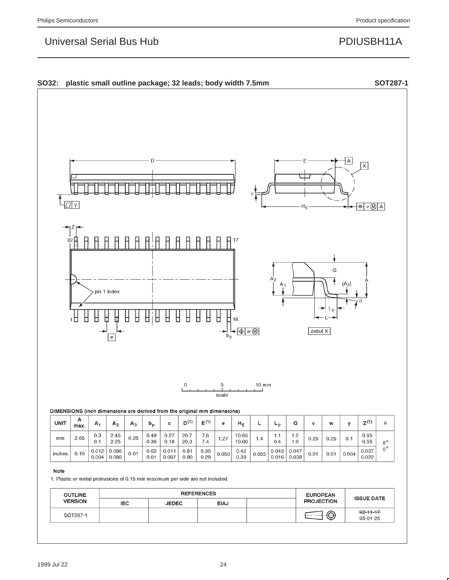

| <b>OUTLINE</b> | <b>REFERENCES</b> |              |      | <b>EUROPEAN</b> |                   |                            |
|----------------|-------------------|--------------|------|-----------------|-------------------|----------------------------|
| <b>VERSION</b> | <b>IEC</b>        | <b>JEDEC</b> | EIAJ |                 | <b>PROJECTION</b> | <b>ISSUE DATE</b>          |
| SOT287-1       |                   |              |      |                 |                   | $92 - 11 - 17$<br>95-01-25 |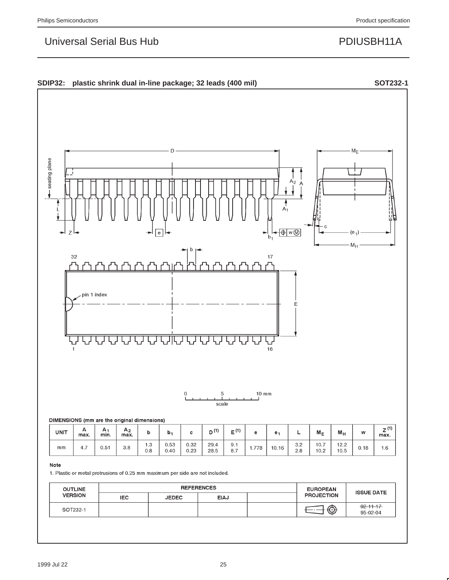

#### Note

1. Plastic or metal protrusions of 0.25 mm maximum per side are not included.

| <b>OUTLINE</b> | <b>REFERENCES</b> |              |             |  | <b>EUROPEAN</b>   | <b>ISSUE DATE</b>           |
|----------------|-------------------|--------------|-------------|--|-------------------|-----------------------------|
| <b>VERSION</b> | <b>IEC</b>        | <b>JEDEC</b> | <b>EIAJ</b> |  | <b>PROJECTION</b> |                             |
| SOT232-1       |                   |              |             |  | $\bigoplus$       | $-92 - 11 - 17$<br>95-02-04 |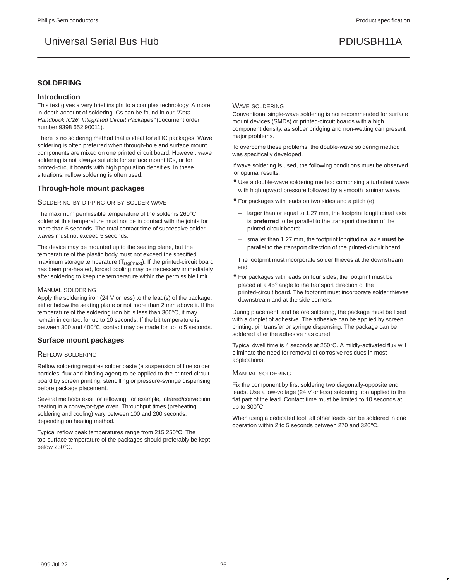### **SOLDERING**

#### **Introduction**

This text gives a very brief insight to a complex technology. A more in-depth account of soldering ICs can be found in our "Data Handbook IC26; Integrated Circuit Packages" (document order number 9398 652 90011).

There is no soldering method that is ideal for all IC packages. Wave soldering is often preferred when through-hole and surface mount components are mixed on one printed circuit board. However, wave soldering is not always suitable for surface mount ICs, or for printed-circuit boards with high population densities. In these situations, reflow soldering is often used.

#### **Through-hole mount packages**

#### SOLDERING BY DIPPING OR BY SOLDER WAVE

The maximum permissible temperature of the solder is 260°C; solder at this temperature must not be in contact with the joints for more than 5 seconds. The total contact time of successive solder waves must not exceed 5 seconds.

The device may be mounted up to the seating plane, but the temperature of the plastic body must not exceed the specified maximum storage temperature  $(T_{\text{stq(max)}})$ . If the printed-circuit board has been pre-heated, forced cooling may be necessary immediately after soldering to keep the temperature within the permissible limit.

#### MANUAL SOLDERING

Apply the soldering iron (24 V or less) to the lead(s) of the package, either below the seating plane or not more than 2 mm above it. If the temperature of the soldering iron bit is less than 300°C, it may remain in contact for up to 10 seconds. If the bit temperature is between 300 and 400°C, contact may be made for up to 5 seconds.

#### **Surface mount packages**

#### REFLOW SOLDERING

Reflow soldering requires solder paste (a suspension of fine solder particles, flux and binding agent) to be applied to the printed-circuit board by screen printing, stencilling or pressure-syringe dispensing before package placement.

Several methods exist for reflowing; for example, infrared/convection heating in a conveyor-type oven. Throughput times (preheating, soldering and cooling) vary between 100 and 200 seconds, depending on heating method.

Typical reflow peak temperatures range from 215 250°C. The top-surface temperature of the packages should preferably be kept below 230°C.

#### WAVE SOLDERING

Conventional single-wave soldering is not recommended for surface mount devices (SMDs) or printed-circuit boards with a high component density, as solder bridging and non-wetting can present major problems.

To overcome these problems, the double-wave soldering method was specifically developed.

If wave soldering is used, the following conditions must be observed for optimal results:

- Use a double-wave soldering method comprising a turbulent wave with high upward pressure followed by a smooth laminar wave.
- For packages with leads on two sides and a pitch (e):
	- larger than or equal to 1.27 mm, the footprint longitudinal axis is **preferred** to be parallel to the transport direction of the printed-circuit board;
	- smaller than 1.27 mm, the footprint longitudinal axis **must** be parallel to the transport direction of the printed-circuit board.

The footprint must incorporate solder thieves at the downstream end.

• For packages with leads on four sides, the footprint must be placed at a 45° angle to the transport direction of the printed-circuit board. The footprint must incorporate solder thieves downstream and at the side corners.

During placement, and before soldering, the package must be fixed with a droplet of adhesive. The adhesive can be applied by screen printing, pin transfer or syringe dispensing. The package can be soldered after the adhesive has cured.

Typical dwell time is 4 seconds at 250°C. A mildly-activated flux will eliminate the need for removal of corrosive residues in most applications.

#### MANUAL SOLDERING

Fix the component by first soldering two diagonally-opposite end leads. Use a low-voltage (24 V or less) soldering iron applied to the flat part of the lead. Contact time must be limited to 10 seconds at up to 300°C.

When using a dedicated tool, all other leads can be soldered in one operation within 2 to 5 seconds between 270 and 320°C.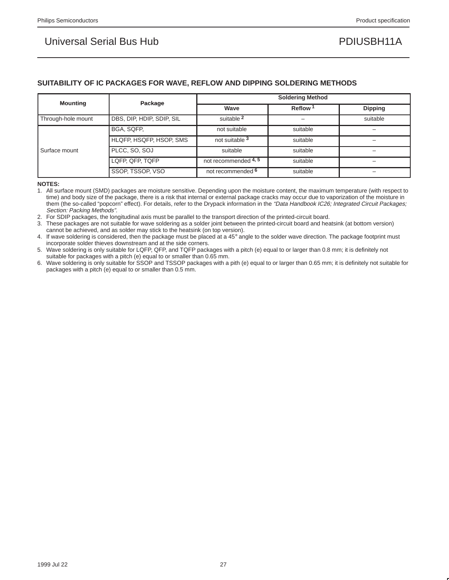### **SUITABILITY OF IC PACKAGES FOR WAVE, REFLOW AND DIPPING SOLDERING METHODS**

| <b>Mounting</b>    | Package                   | <b>Soldering Method</b> |                     |                |  |  |
|--------------------|---------------------------|-------------------------|---------------------|----------------|--|--|
|                    |                           | Wave                    | Reflow <sup>1</sup> | <b>Dipping</b> |  |  |
| Through-hole mount | DBS, DIP, HDIP, SDIP, SIL | suitable 2              |                     | suitable       |  |  |
|                    | BGA, SQFP,                | not suitable            | suitable            |                |  |  |
|                    | HLQFP, HSQFP, HSOP, SMS   | not suitable 3          | suitable            |                |  |  |
| Surface mount      | PLCC, SO, SOJ             | suitable                | suitable            | -              |  |  |
|                    | LQFP, QFP, TQFP           | not recommended 4, 5    | suitable            |                |  |  |
|                    | SSOP, TSSOP, VSO          | not recommended 6       | suitable            |                |  |  |

#### **NOTES:**

1. All surface mount (SMD) packages are moisture sensitive. Depending upon the moisture content, the maximum temperature (with respect to time) and body size of the package, there is a risk that internal or external package cracks may occur due to vaporization of the moisture in them (the so-called "popcorn" effect). For details, refer to the Drypack information in the "Data Handbook IC26; Integrated Circuit Packages; Section: Packing Methods".

2. For SDIP packages, the longitudinal axis must be parallel to the transport direction of the printed-circuit board.

3. These packages are not suitable for wave soldering as a solder joint between the printed-circuit board and heatsink (at bottom version) cannot be achieved, and as solder may stick to the heatsink (on top version).

4. If wave soldering is considered, then the package must be placed at a 45° angle to the solder wave direction. The package footprint must incorporate solder thieves downstream and at the side corners.

5. Wave soldering is only suitable for LQFP, QFP, and TQFP packages with a pitch (e) equal to or larger than 0.8 mm; it is definitely not suitable for packages with a pitch (e) equal to or smaller than 0.65 mm.

6. Wave soldering is only suitable for SSOP and TSSOP packages with a pith (e) equal to or larger than 0.65 mm; it is definitely not suitable for packages with a pitch (e) equal to or smaller than 0.5 mm.